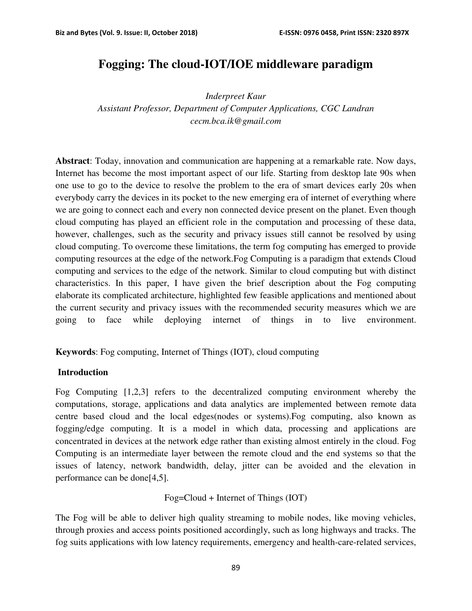# **Fogging: The cloud-IOT/IOE middleware paradigm**

*Inderpreet Kaur* 

*Assistant Professor, Department of Computer Applications, CGC Landran cecm.bca.ik@gmail.com*

**Abstract**: Today, innovation and communication are happening at a remarkable rate. Now days, Internet has become the most important aspect of our life. Starting from desktop late 90s when one use to go to the device to resolve the problem to the era of smart devices early 20s when everybody carry the devices in its pocket to the new emerging era of internet of everything where we are going to connect each and every non connected device present on the planet. Even though cloud computing has played an efficient role in the computation and processing of these data, however, challenges, such as the security and privacy issues still cannot be resolved by using cloud computing. To overcome these limitations, the term fog computing has emerged to provide computing resources at the edge of the network.Fog Computing is a paradigm that extends Cloud computing and services to the edge of the network. Similar to cloud computing but with distinct characteristics. In this paper, I have given the brief description about the Fog computing elaborate its complicated architecture, highlighted few feasible applications and mentioned about the current security and privacy issues with the recommended security measures which we are going to face while deploying internet of things in to live environment.

**Keywords**: Fog computing, Internet of Things (IOT), cloud computing

#### **Introduction**

Fog Computing [1,2,3] refers to the decentralized computing environment whereby the computations, storage, applications and data analytics are implemented between remote data centre based cloud and the local edges(nodes or systems).Fog computing, also known as fogging/edge computing. It is a model in which data, processing and applications are concentrated in devices at the network edge rather than existing almost entirely in the cloud. Fog Computing is an intermediate layer between the remote cloud and the end systems so that the issues of latency, network bandwidth, delay, jitter can be avoided and the elevation in performance can be done[4,5].

Fog=Cloud + Internet of Things (IOT)

The Fog will be able to deliver high quality streaming to mobile nodes, like moving vehicles, through proxies and access points positioned accordingly, such as long highways and tracks. The fog suits applications with low latency requirements, emergency and health-care-related services,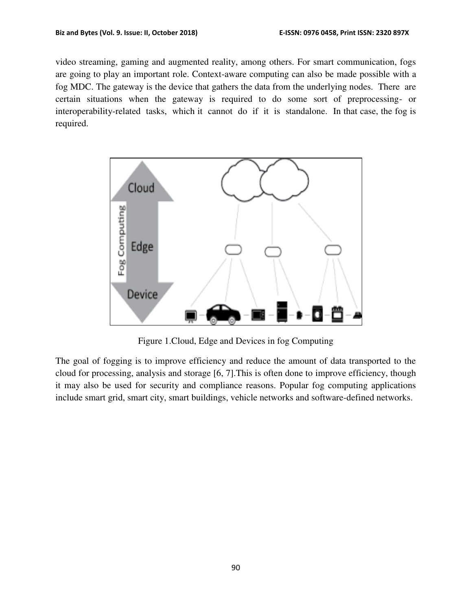video streaming, gaming and augmented reality, among others. For smart communication, fogs are going to play an important role. Context-aware computing can also be made possible with a fog MDC. The gateway is the device that gathers the data from the underlying nodes. There are certain situations when the gateway is required to do some sort of preprocessing- or interoperability-related tasks, which it cannot do if it is standalone. In that case, the fog is required.



Figure 1.Cloud, Edge and Devices in fog Computing

The goal of fogging is to improve efficiency and reduce the amount of data transported to the cloud for processing, analysis and storage [6, 7].This is often done to improve efficiency, though it may also be used for security and compliance reasons. Popular fog computing applications include smart grid, smart city, smart buildings, vehicle networks and software-defined networks.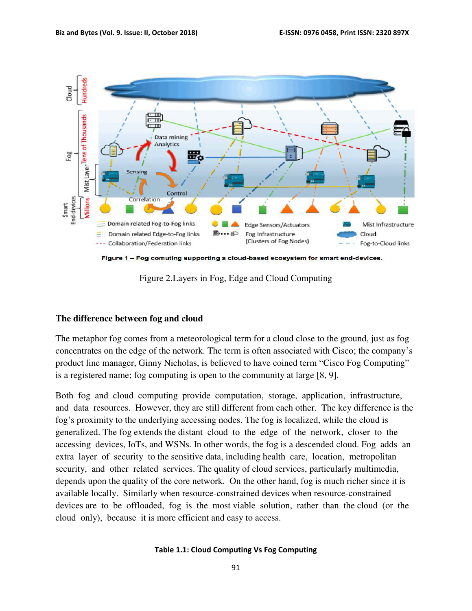

Figure 2.Layers in Fog, Edge and Cloud Computing

#### **The difference between fog and cloud**

The metaphor fog comes from a meteorological term for a cloud close to the ground, just as fog concentrates on the edge of the network. The term is often associated with Cisco; the company's product line manager, Ginny Nicholas, is believed to have coined term "Cisco Fog Computing" is a registered name; fog computing is open to the community at large [8, 9].

Both fog and cloud computing provide computation, storage, application, infrastructure, and data resources. However, they are still different from each other. The key difference is the fog's proximity to the underlying accessing nodes. The fog is localized, while the cloud is generalized. The fog extends the distant cloud to the edge of the network, closer to the accessing devices, IoTs, and WSNs. In other words, the fog is a descended cloud. Fog adds an extra layer of security to the sensitive data, including health care, location, metropolitan security, and other related services. The quality of cloud services, particularly multimedia, depends upon the quality of the core network. On the other hand, fog is much richer since it is available locally. Similarly when resource-constrained devices when resource-constrained devices are to be offloaded, fog is the most viable solution, rather than the cloud (or the cloud only), because it is more efficient and easy to access.

#### **Table 1.1: Cloud Computing Vs Fog Computing**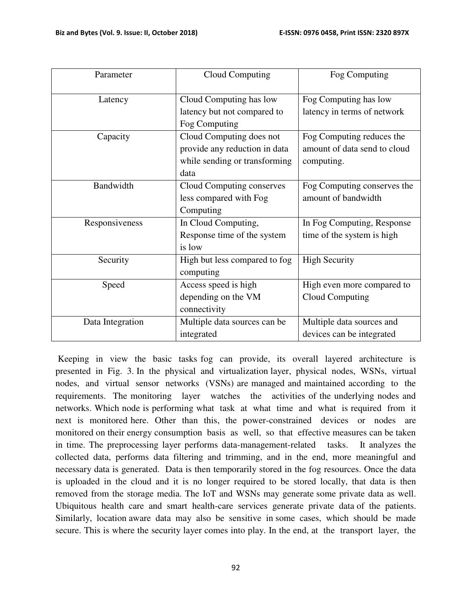| Parameter        | Cloud Computing               | Fog Computing                |
|------------------|-------------------------------|------------------------------|
|                  |                               |                              |
| Latency          | Cloud Computing has low       | Fog Computing has low        |
|                  | latency but not compared to   | latency in terms of network  |
|                  | Fog Computing                 |                              |
| Capacity         | Cloud Computing does not      | Fog Computing reduces the    |
|                  | provide any reduction in data | amount of data send to cloud |
|                  | while sending or transforming | computing.                   |
|                  | data                          |                              |
| Bandwidth        | Cloud Computing conserves     | Fog Computing conserves the  |
|                  | less compared with Fog        | amount of bandwidth          |
|                  | Computing                     |                              |
| Responsiveness   | In Cloud Computing,           | In Fog Computing, Response   |
|                  | Response time of the system   | time of the system is high   |
|                  | is low                        |                              |
| Security         | High but less compared to fog | <b>High Security</b>         |
|                  | computing                     |                              |
| Speed            | Access speed is high          | High even more compared to   |
|                  | depending on the VM           | Cloud Computing              |
|                  | connectivity                  |                              |
| Data Integration | Multiple data sources can be  | Multiple data sources and    |
|                  | integrated                    | devices can be integrated    |

 Keeping in view the basic tasks fog can provide, its overall layered architecture is presented in Fig. 3. In the physical and virtualization layer, physical nodes, WSNs, virtual nodes, and virtual sensor networks (VSNs) are managed and maintained according to the requirements. The monitoring layer watches the activities of the underlying nodes and networks. Which node is performing what task at what time and what is required from it next is monitored here. Other than this, the power-constrained devices or nodes are monitored on their energy consumption basis as well, so that effective measures can be taken in time. The preprocessing layer performs data-management-related tasks. It analyzes the collected data, performs data filtering and trimming, and in the end, more meaningful and necessary data is generated. Data is then temporarily stored in the fog resources. Once the data is uploaded in the cloud and it is no longer required to be stored locally, that data is then removed from the storage media. The IoT and WSNs may generate some private data as well. Ubiquitous health care and smart health-care services generate private data of the patients. Similarly, location aware data may also be sensitive in some cases, which should be made secure. This is where the security layer comes into play. In the end, at the transport layer, the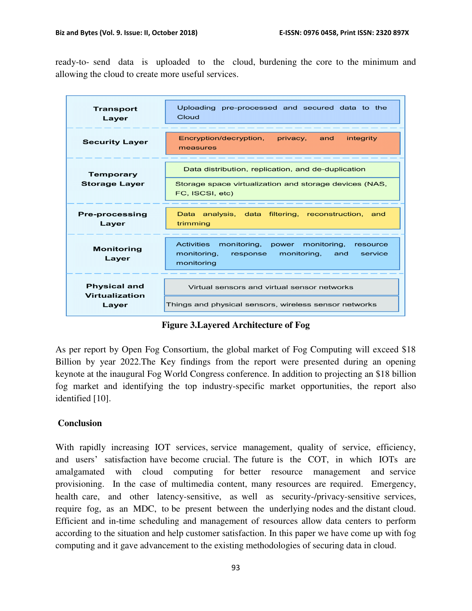ready-to- send data is uploaded to the cloud, burdening the core to the minimum and allowing the cloud to create more useful services.

| <b>Transport</b><br>Layer                      | Uploading pre-processed and secured data to the<br>Cloud                                                                                 |
|------------------------------------------------|------------------------------------------------------------------------------------------------------------------------------------------|
| <b>Security Layer</b>                          | Encryption/decryption, privacy, and<br>integrity<br>measures                                                                             |
| <b>Temporary</b><br><b>Storage Layer</b>       | Data distribution, replication, and de-duplication<br>Storage space virtualization and storage devices (NAS,<br>FC, ISCSI, etc)          |
| <b>Pre-processing</b><br>Layer                 | Data analysis, data filtering, reconstruction,<br>and<br>trimming                                                                        |
| <b>Monitoring</b><br>Layer                     | <b>Activities</b><br>monitoring, power monitoring,<br>resource<br>monitoring,<br>monitoring,<br>and<br>response<br>service<br>monitoring |
| <b>Physical and</b><br>Virtualization<br>Layer | Virtual sensors and virtual sensor networks<br>Things and physical sensors, wireless sensor networks                                     |

**Figure 3.Layered Architecture of Fog** 

As per report by Open Fog Consortium, the global market of Fog Computing will exceed \$18 Billion by year 2022.The Key findings from the report were presented during an opening keynote at the inaugural Fog World Congress conference. In addition to projecting an \$18 billion fog market and identifying the top industry-specific market opportunities, the report also identified [10].

### **Conclusion**

With rapidly increasing IOT services, service management, quality of service, efficiency, and users' satisfaction have become crucial. The future is the COT, in which IOTs are amalgamated with cloud computing for better resource management and service provisioning. In the case of multimedia content, many resources are required. Emergency, health care, and other latency-sensitive, as well as security-/privacy-sensitive services, require fog, as an MDC, to be present between the underlying nodes and the distant cloud. Efficient and in-time scheduling and management of resources allow data centers to perform according to the situation and help customer satisfaction. In this paper we have come up with fog computing and it gave advancement to the existing methodologies of securing data in cloud.